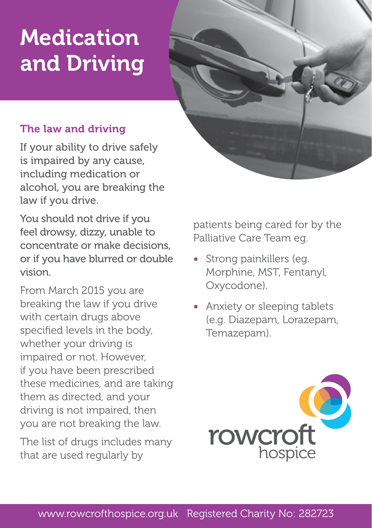# Medication and Driving



#### The law and driving

If your ability to drive safely is impaired by any cause, including medication or alcohol, you are breaking the law if you drive.

You should not drive if you feel drowsy, dizzy, unable to concentrate or make decisions, or if you have blurred or double vision.

From March 2015 you are breaking the law if you drive with certain drugs above specified levels in the body, whether your driving is impaired or not. However, if you have been prescribed these medicines, and are taking them as directed, and your driving is not impaired, then you are not breaking the law.

The list of drugs includes many that are used regularly by

patients being cared for by the Palliative Care Team eg.

- Strong painkillers (eg. Morphine, MST, Fentanyl, Oxycodone).
- Anxiety or sleeping tablets (e.g. Diazepam, Lorazepam, Temazepam).

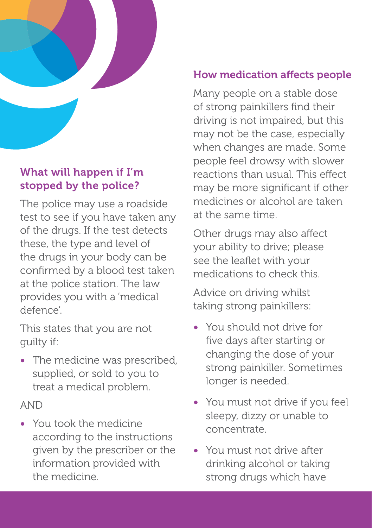

# What will happen if I'm stopped by the police?

The police may use a roadside test to see if you have taken any of the drugs. If the test detects these, the type and level of the drugs in your body can be confirmed by a blood test taken at the police station. The law provides you with a 'medical defence'.

This states that you are not guilty if:

• The medicine was prescribed, supplied, or sold to you to treat a medical problem.

#### AND

• You took the medicine according to the instructions given by the prescriber or the information provided with the medicine.

## How medication affects people

Many people on a stable dose of strong painkillers find their driving is not impaired, but this may not be the case, especially when changes are made. Some people feel drowsy with slower reactions than usual. This effect may be more significant if other medicines or alcohol are taken at the same time.

Other drugs may also affect your ability to drive; please see the leaflet with your medications to check this.

Advice on driving whilst taking strong painkillers:

- You should not drive for five days after starting or changing the dose of your strong painkiller. Sometimes longer is needed.
- You must not drive if you feel sleepy, dizzy or unable to concentrate.
- You must not drive after drinking alcohol or taking strong drugs which have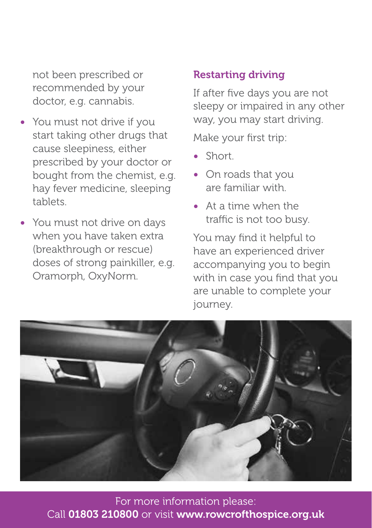not been prescribed or recommended by your doctor, e.g. cannabis.

- You must not drive if you start taking other drugs that cause sleepiness, either prescribed by your doctor or bought from the chemist, e.g. hay fever medicine, sleeping tablets.
- You must not drive on days when you have taken extra (breakthrough or rescue) doses of strong painkiller, e.g. Oramorph, OxyNorm.

#### Restarting driving

If after five days you are not sleepy or impaired in any other way, you may start driving.

Make your first trip:

- Short.
- On roads that you are familiar with.
- At a time when the traffic is not too busy.

You may find it helpful to have an experienced driver accompanying you to begin with in case you find that you are unable to complete your journey.



For more information please: Call 01803 210800 or visit www.rowcrofthospice.org.uk